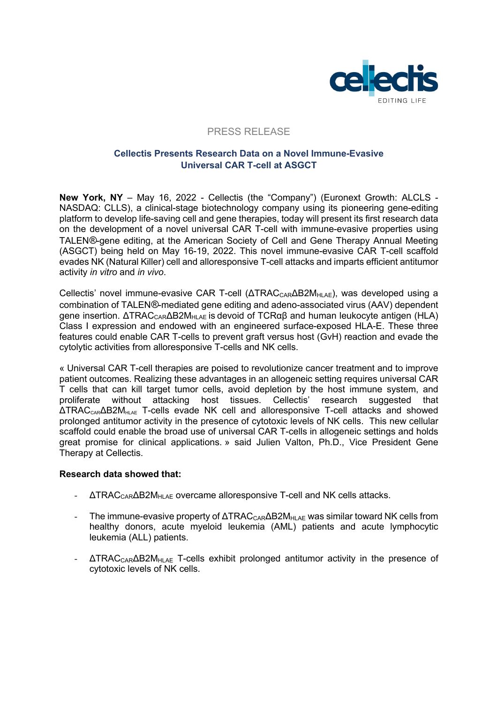

# PRESS RELEASE

# **Cellectis Presents Research Data on a Novel Immune-Evasive Universal CAR T-cell at ASGCT**

**New York, NY** – May 16, 2022 - Cellectis (the "Company") (Euronext Growth: ALCLS - NASDAQ: CLLS), a clinical-stage biotechnology company using its pioneering gene-editing platform to develop life-saving cell and gene therapies, today will present its first research data on the development of a novel universal CAR T-cell with immune-evasive properties using TALEN*®*-gene editing, at the American Society of Cell and Gene Therapy Annual Meeting (ASGCT) being held on May 16-19, 2022. This novel immune-evasive CAR T-cell scaffold evades NK (Natural Killer) cell and alloresponsive T-cell attacks and imparts efficient antitumor activity *in vitro* and *in vivo*.

Cellectis' novel immune-evasive CAR T-cell (ΔTRAC<sub>CAR</sub>ΔB2M<sub>HLAE</sub>), was developed using a combination of TALEN*®*-mediated gene editing and adeno-associated virus (AAV) dependent gene insertion.  $ΔTRAC<sub>CAR</sub>ΔB2M<sub>HI AF</sub>$  is devoid of TCRαβ and human leukocyte antigen (HLA) Class I expression and endowed with an engineered surface-exposed HLA-E. These three features could enable CAR T-cells to prevent graft versus host (GvH) reaction and evade the cytolytic activities from alloresponsive T-cells and NK cells.

« Universal CAR T-cell therapies are poised to revolutionize cancer treatment and to improve patient outcomes. Realizing these advantages in an allogeneic setting requires universal CAR T cells that can kill target tumor cells, avoid depletion by the host immune system, and proliferate without attacking host tissues. Cellectis' research suggested that  $\Delta$ TRAC<sub>CAR</sub> $\Delta$ B2M<sub>HLAE</sub> T-cells evade NK cell and alloresponsive T-cell attacks and showed prolonged antitumor activity in the presence of cytotoxic levels of NK cells. This new cellular scaffold could enable the broad use of universal CAR T-cells in allogeneic settings and holds great promise for clinical applications. » said Julien Valton, Ph.D., Vice President Gene Therapy at Cellectis.

## **Research data showed that:**

- $\Delta TRAC_{CAR} \Delta B2M_{HLAE}$  overcame alloresponsive T-cell and NK cells attacks.
- The immune-evasive property of  $\triangle TRAC_{CAR}\triangle B2M_{HLAE}$  was similar toward NK cells from healthy donors, acute myeloid leukemia (AML) patients and acute lymphocytic leukemia (ALL) patients.
- ΔTRAC<sub>CAR</sub>ΔB2M<sub>HLAE</sub> T-cells exhibit prolonged antitumor activity in the presence of cytotoxic levels of NK cells.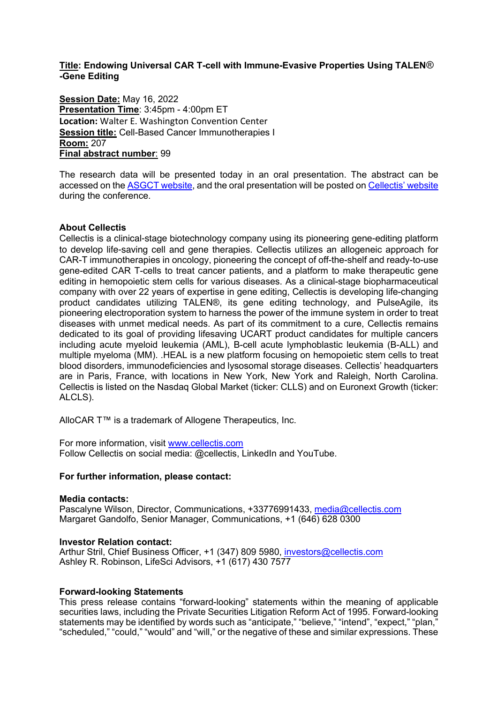# **Title: Endowing Universal CAR T-cell with Immune-Evasive Properties Using TALEN***®* **-Gene Editing**

**Session Date:** May 16, 2022 **Presentation Time**: 3:45pm - 4:00pm ET **Location:** Walter E. Washington Convention Center **Session title:** Cell-Based Cancer Immunotherapies I **Room:** 207 **Final abstract number**: 99

The research data will be presented today in an oral presentation. The abstract can be accessed on the ASGCT website, and the oral presentation will be posted on Cellectis' website during the conference.

# **About Cellectis**

Cellectis is a clinical-stage biotechnology company using its pioneering gene-editing platform to develop life-saving cell and gene therapies. Cellectis utilizes an allogeneic approach for CAR-T immunotherapies in oncology, pioneering the concept of off-the-shelf and ready-to-use gene-edited CAR T-cells to treat cancer patients, and a platform to make therapeutic gene editing in hemopoietic stem cells for various diseases. As a clinical-stage biopharmaceutical company with over 22 years of expertise in gene editing, Cellectis is developing life-changing product candidates utilizing TALEN®, its gene editing technology, and PulseAgile, its pioneering electroporation system to harness the power of the immune system in order to treat diseases with unmet medical needs. As part of its commitment to a cure, Cellectis remains dedicated to its goal of providing lifesaving UCART product candidates for multiple cancers including acute myeloid leukemia (AML), B-cell acute lymphoblastic leukemia (B-ALL) and multiple myeloma (MM). .HEAL is a new platform focusing on hemopoietic stem cells to treat blood disorders, immunodeficiencies and lysosomal storage diseases. Cellectis' headquarters are in Paris, France, with locations in New York, New York and Raleigh, North Carolina. Cellectis is listed on the Nasdaq Global Market (ticker: CLLS) and on Euronext Growth (ticker: ALCLS).

AlloCAR T™ is a trademark of Allogene Therapeutics, Inc.

For more information, visit www.cellectis.com Follow Cellectis on social media: @cellectis, LinkedIn and YouTube.

## **For further information, please contact:**

#### **Media contacts:**

Pascalyne Wilson, Director, Communications, +33776991433, media@cellectis.com Margaret Gandolfo, Senior Manager, Communications, +1 (646) 628 0300

## **Investor Relation contact:**

Arthur Stril, Chief Business Officer, +1 (347) 809 5980, investors@cellectis.com Ashley R. Robinson, LifeSci Advisors, +1 (617) 430 7577

## **Forward-looking Statements**

This press release contains "forward-looking" statements within the meaning of applicable securities laws, including the Private Securities Litigation Reform Act of 1995. Forward-looking statements may be identified by words such as "anticipate," "believe," "intend", "expect," "plan, "scheduled," "could," "would" and "will," or the negative of these and similar expressions. These